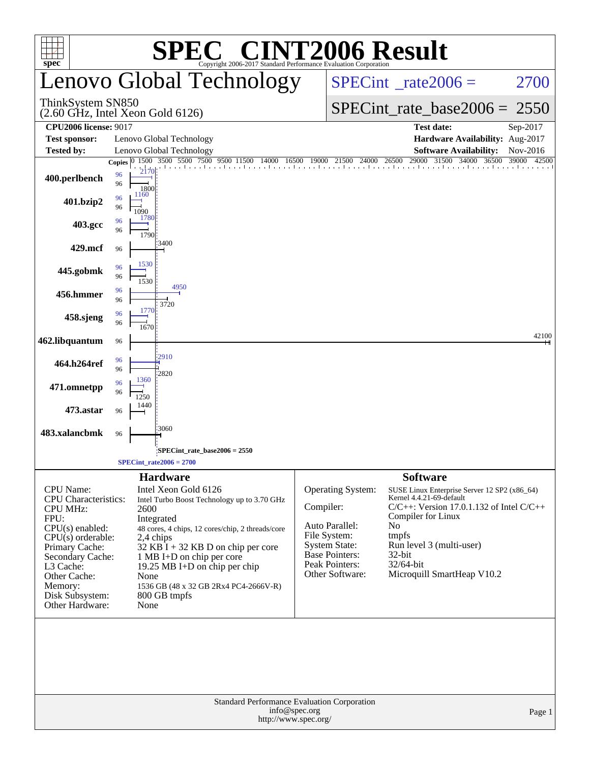| $spec^{\circ}$                                            |          |                      | $\mathbb{C}^{\scriptscriptstyle \otimes}$ CINT2006 Result<br>Copyright 2006-2017 Standard Performance Evaluation Corporation |               |                                          |                                                                     |                            |
|-----------------------------------------------------------|----------|----------------------|------------------------------------------------------------------------------------------------------------------------------|---------------|------------------------------------------|---------------------------------------------------------------------|----------------------------|
|                                                           |          |                      | Lenovo Global Technology                                                                                                     |               | $SPECint^{\circ}$ <sub>_rate2006</sub> = | 2700                                                                |                            |
| ThinkSystem SN850<br>$(2.60$ GHz, Intel Xeon Gold $6126)$ |          |                      |                                                                                                                              |               |                                          | $SPECint_rate_base2006 = 2550$                                      |                            |
| <b>CPU2006 license: 9017</b>                              |          |                      |                                                                                                                              |               |                                          | <b>Test date:</b>                                                   | Sep-2017                   |
| <b>Test sponsor:</b>                                      |          |                      | Lenovo Global Technology                                                                                                     |               |                                          | Hardware Availability: Aug-2017                                     |                            |
| <b>Tested by:</b>                                         |          |                      | Lenovo Global Technology<br>Copies 0 1500 3500 5500 7500 9500 11500                                                          |               |                                          | <b>Software Availability:</b><br>29000 31500 34000 36500            | Nov-2016<br>39000<br>42500 |
| 400.perlbench                                             | 96<br>96 | 2170<br>1800<br>1160 |                                                                                                                              |               |                                          |                                                                     |                            |
| 401.bzip2                                                 | 96<br>96 | 1090<br>1780         |                                                                                                                              |               |                                          |                                                                     |                            |
| 403.gcc                                                   | 96<br>96 | 1790                 |                                                                                                                              |               |                                          |                                                                     |                            |
| 429.mcf                                                   | 96       | 1530                 | 3400                                                                                                                         |               |                                          |                                                                     |                            |
| 445.gobmk                                                 | 96<br>96 | 1530                 | 4950                                                                                                                         |               |                                          |                                                                     |                            |
| 456.hmmer                                                 | 96<br>96 | 1770                 | 3720                                                                                                                         |               |                                          |                                                                     |                            |
| 458.sjeng                                                 | 96<br>96 | 1670                 |                                                                                                                              |               |                                          |                                                                     |                            |
| 462.libquantum                                            | 96       |                      | 2910                                                                                                                         |               |                                          |                                                                     | 42100                      |
| 464.h264ref                                               | 96<br>96 | 1360                 | 2820                                                                                                                         |               |                                          |                                                                     |                            |
| 471.omnetpp                                               | 96<br>96 | 1250<br>1440         |                                                                                                                              |               |                                          |                                                                     |                            |
| 473.astar                                                 | 96       |                      | 3060                                                                                                                         |               |                                          |                                                                     |                            |
| 483.xalancbmk                                             | 96       |                      |                                                                                                                              |               |                                          |                                                                     |                            |
|                                                           |          |                      | SPECint_rate_base2006 = 2550<br>$SPECint_rate2006 = 2700$                                                                    |               |                                          |                                                                     |                            |
|                                                           |          |                      | <b>Hardware</b>                                                                                                              |               |                                          | <b>Software</b>                                                     |                            |
| <b>CPU</b> Name:                                          |          |                      | Intel Xeon Gold 6126                                                                                                         |               | <b>Operating System:</b>                 | SUSE Linux Enterprise Server 12 SP2 (x86_64)                        |                            |
| <b>CPU</b> Characteristics:                               |          |                      | Intel Turbo Boost Technology up to 3.70 GHz                                                                                  |               |                                          | Kernel 4.4.21-69-default                                            |                            |
| <b>CPU MHz:</b><br>FPU:                                   |          | 2600                 | Integrated                                                                                                                   | Compiler:     |                                          | $C/C++$ : Version 17.0.1.132 of Intel $C/C++$<br>Compiler for Linux |                            |
| $CPU(s)$ enabled:                                         |          |                      | 48 cores, 4 chips, 12 cores/chip, 2 threads/core                                                                             |               | Auto Parallel:                           | No                                                                  |                            |
| $CPU(s)$ orderable:<br>Primary Cache:                     |          |                      | 2,4 chips                                                                                                                    |               | File System:<br><b>System State:</b>     | tmpfs<br>Run level 3 (multi-user)                                   |                            |
| Secondary Cache:                                          |          |                      | 32 KB $\overline{I}$ + 32 KB D on chip per core<br>1 MB I+D on chip per core                                                 |               | <b>Base Pointers:</b>                    | 32-bit                                                              |                            |
| L3 Cache:                                                 |          |                      | 19.25 MB I+D on chip per chip                                                                                                |               | Peak Pointers:<br>Other Software:        | 32/64-bit<br>Microquill SmartHeap V10.2                             |                            |
| Other Cache:<br>Memory:                                   |          | None                 | 1536 GB (48 x 32 GB 2Rx4 PC4-2666V-R)                                                                                        |               |                                          |                                                                     |                            |
| Disk Subsystem:<br>Other Hardware:                        |          | None                 | 800 GB tmpfs                                                                                                                 |               |                                          |                                                                     |                            |
|                                                           |          |                      |                                                                                                                              |               |                                          |                                                                     |                            |
|                                                           |          |                      | Standard Performance Evaluation Corporation                                                                                  | info@spec.org |                                          |                                                                     | Page 1                     |
|                                                           |          |                      | http://www.spec.org/                                                                                                         |               |                                          |                                                                     |                            |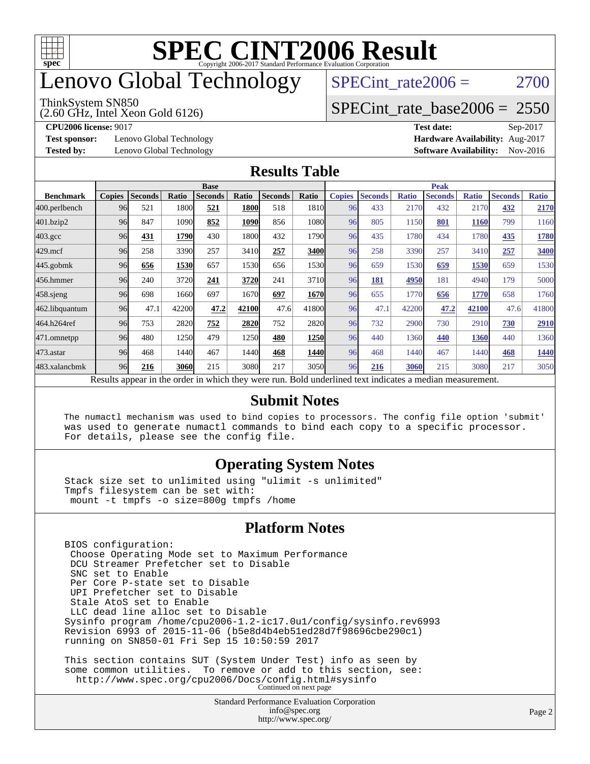

# enovo Global Technology

#### ThinkSystem SN850

(2.60 GHz, Intel Xeon Gold 6126)

SPECint rate $2006 = 2700$ 

[SPECint\\_rate\\_base2006 =](http://www.spec.org/auto/cpu2006/Docs/result-fields.html#SPECintratebase2006) 2550

**[Test sponsor:](http://www.spec.org/auto/cpu2006/Docs/result-fields.html#Testsponsor)** Lenovo Global Technology **[Hardware Availability:](http://www.spec.org/auto/cpu2006/Docs/result-fields.html#HardwareAvailability)** Aug-2017

**[CPU2006 license:](http://www.spec.org/auto/cpu2006/Docs/result-fields.html#CPU2006license)** 9017 **[Test date:](http://www.spec.org/auto/cpu2006/Docs/result-fields.html#Testdate)** Sep-2017 **[Tested by:](http://www.spec.org/auto/cpu2006/Docs/result-fields.html#Testedby)** Lenovo Global Technology **[Software Availability:](http://www.spec.org/auto/cpu2006/Docs/result-fields.html#SoftwareAvailability)** Nov-2016

#### **[Results Table](http://www.spec.org/auto/cpu2006/Docs/result-fields.html#ResultsTable)**

|                                                                                                          | <b>Base</b>   |                |       |                |       |                |             | <b>Peak</b>   |                |              |                |              |                |              |
|----------------------------------------------------------------------------------------------------------|---------------|----------------|-------|----------------|-------|----------------|-------------|---------------|----------------|--------------|----------------|--------------|----------------|--------------|
| <b>Benchmark</b>                                                                                         | <b>Copies</b> | <b>Seconds</b> | Ratio | <b>Seconds</b> | Ratio | <b>Seconds</b> | Ratio       | <b>Copies</b> | <b>Seconds</b> | <b>Ratio</b> | <b>Seconds</b> | <b>Ratio</b> | <b>Seconds</b> | <b>Ratio</b> |
| 400.perlbench                                                                                            | 96            | 521            | 1800  | 521            | 1800  | 518            | 1810        | 96            | 433            | 2170         | 432            | 2170         | 432            | 2170         |
| 401.bzip2                                                                                                | 96            | 847            | 1090  | 852            | 1090  | 856            | 1080l       | 96            | 805            | 1150         | 801            | <b>1160</b>  | 799            | 1160         |
| $403.\mathrm{gcc}$                                                                                       | 96            | 431            | 1790  | 430            | 1800  | 432            | 1790        | 96            | 435            | 1780         | 434            | 1780         | 435            | 1780         |
| $429$ .mcf                                                                                               | 96            | 258            | 3390  | 257            | 3410  | 257            | 3400        | 96            | 258            | 3390         | 257            | 3410         | 257            | 3400         |
| $445$ .gobm $k$                                                                                          | 96            | 656            | 1530  | 657            | 1530  | 656            | 1530        | 96            | 659            | 1530         | 659            | 1530         | 659            | 1530         |
| 456.hmmer                                                                                                | 96            | 240            | 3720  | 241            | 3720  | 241            | 3710        | 96            | 181            | 4950         | 181            | 4940         | 179            | 5000         |
| $458$ .sjeng                                                                                             | 96            | 698            | 1660  | 697            | 1670  | 697            | 1670        | 96            | 655            | 1770         | 656            | 1770         | 658            | 1760         |
| 462.libquantum                                                                                           | 96            | 47.1           | 42200 | 47.2           | 42100 | 47.6           | 41800       | 96            | 47.1           | 42200        | 47.2           | 42100        | 47.6           | 41800        |
| 464.h264ref                                                                                              | 96            | 753            | 2820  | 752            | 2820  | 752            | <b>2820</b> | 96            | 732            | 2900         | 730            | 2910         | 730            | 2910         |
| 471.omnetpp                                                                                              | 96            | 480            | 1250  | 479            | 1250  | 480            | 1250        | 96            | 440            | 1360         | 440            | 1360         | 440            | 1360         |
| $473.$ astar                                                                                             | 96            | 468            | 1440  | 467            | 1440  | 468            | 1440        | 96            | 468            | 1440         | 467            | 1440         | 468            | 1440         |
| 483.xalancbmk                                                                                            | 96            | 216            | 3060  | 215            | 3080  | 217            | 3050        | 96            | 216            | 3060         | 215            | 3080         | 217            | 3050         |
| Results appear in the order in which they were run. Bold underlined text indicates a median measurement. |               |                |       |                |       |                |             |               |                |              |                |              |                |              |

#### **[Submit Notes](http://www.spec.org/auto/cpu2006/Docs/result-fields.html#SubmitNotes)**

 The numactl mechanism was used to bind copies to processors. The config file option 'submit' was used to generate numactl commands to bind each copy to a specific processor. For details, please see the config file.

### **[Operating System Notes](http://www.spec.org/auto/cpu2006/Docs/result-fields.html#OperatingSystemNotes)**

 Stack size set to unlimited using "ulimit -s unlimited" Tmpfs filesystem can be set with: mount -t tmpfs -o size=800g tmpfs /home

### **[Platform Notes](http://www.spec.org/auto/cpu2006/Docs/result-fields.html#PlatformNotes)**

<http://www.spec.org/>

Standard Performance Evaluation Corporation [info@spec.org](mailto:info@spec.org) BIOS configuration: Choose Operating Mode set to Maximum Performance DCU Streamer Prefetcher set to Disable SNC set to Enable Per Core P-state set to Disable UPI Prefetcher set to Disable Stale AtoS set to Enable LLC dead line alloc set to Disable Sysinfo program /home/cpu2006-1.2-ic17.0u1/config/sysinfo.rev6993 Revision 6993 of 2015-11-06 (b5e8d4b4eb51ed28d7f98696cbe290c1) running on SN850-01 Fri Sep 15 10:50:59 2017 This section contains SUT (System Under Test) info as seen by some common utilities. To remove or add to this section, see: <http://www.spec.org/cpu2006/Docs/config.html#sysinfo> Continued on next page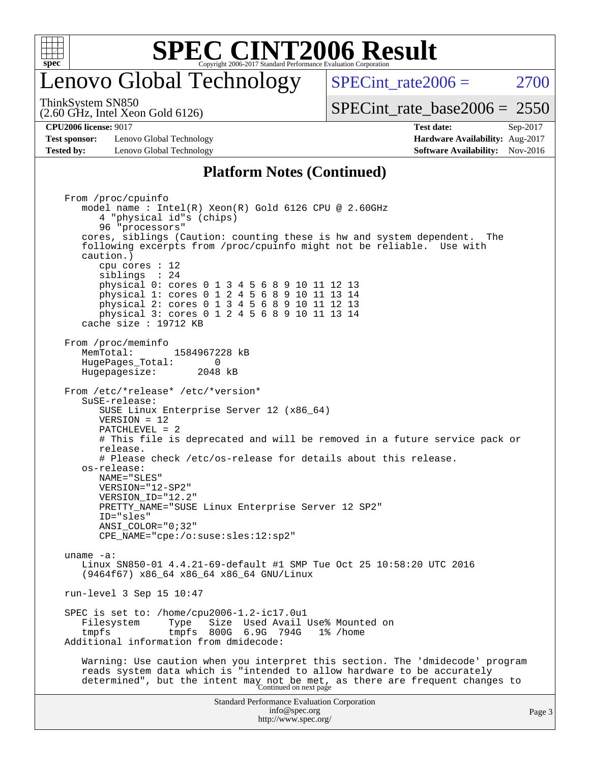

# enovo Global Technology

SPECint rate $2006 = 2700$ 

(2.60 GHz, Intel Xeon Gold 6126) ThinkSystem SN850

[SPECint\\_rate\\_base2006 =](http://www.spec.org/auto/cpu2006/Docs/result-fields.html#SPECintratebase2006) 2550

**[Test sponsor:](http://www.spec.org/auto/cpu2006/Docs/result-fields.html#Testsponsor)** Lenovo Global Technology **[Hardware Availability:](http://www.spec.org/auto/cpu2006/Docs/result-fields.html#HardwareAvailability)** Aug-2017 **[Tested by:](http://www.spec.org/auto/cpu2006/Docs/result-fields.html#Testedby)** Lenovo Global Technology **[Software Availability:](http://www.spec.org/auto/cpu2006/Docs/result-fields.html#SoftwareAvailability)** Nov-2016

**[CPU2006 license:](http://www.spec.org/auto/cpu2006/Docs/result-fields.html#CPU2006license)** 9017 **[Test date:](http://www.spec.org/auto/cpu2006/Docs/result-fields.html#Testdate)** Sep-2017

### **[Platform Notes \(Continued\)](http://www.spec.org/auto/cpu2006/Docs/result-fields.html#PlatformNotes)**

Standard Performance Evaluation Corporation [info@spec.org](mailto:info@spec.org) <http://www.spec.org/> Page 3 From /proc/cpuinfo model name : Intel(R) Xeon(R) Gold 6126 CPU @ 2.60GHz 4 "physical id"s (chips) 96 "processors" cores, siblings (Caution: counting these is hw and system dependent. The following excerpts from /proc/cpuinfo might not be reliable. Use with caution.) cpu cores : 12 siblings : 24 physical 0: cores 0 1 3 4 5 6 8 9 10 11 12 13 physical 1: cores 0 1 2 4 5 6 8 9 10 11 13 14 physical 2: cores 0 1 3 4 5 6 8 9 10 11 12 13 physical 3: cores 0 1 2 4 5 6 8 9 10 11 13 14 cache size : 19712 KB From /proc/meminfo MemTotal: 1584967228 kB HugePages\_Total: 0<br>Hugepagesize: 2048 kB Hugepagesize: From /etc/\*release\* /etc/\*version\* SuSE-release: SUSE Linux Enterprise Server 12 (x86\_64) VERSION = 12 PATCHLEVEL = 2 # This file is deprecated and will be removed in a future service pack or release. # Please check /etc/os-release for details about this release. os-release: NAME="SLES" VERSION="12-SP2" VERSION\_ID="12.2" PRETTY\_NAME="SUSE Linux Enterprise Server 12 SP2" ID="sles" ANSI\_COLOR="0;32" CPE\_NAME="cpe:/o:suse:sles:12:sp2" uname -a: Linux SN850-01 4.4.21-69-default #1 SMP Tue Oct 25 10:58:20 UTC 2016 (9464f67) x86\_64 x86\_64 x86\_64 GNU/Linux run-level 3 Sep 15 10:47 SPEC is set to: /home/cpu2006-1.2-ic17.0u1 Filesystem Type Size Used-Avail-Use%-Mounted-on-<br>
tmpfs 800G 6.9G 794G 1%-/home tmpfs tmpfs 800G 6.9G 794G 1% /home Additional information from dmidecode: Warning: Use caution when you interpret this section. The 'dmidecode' program reads system data which is "intended to allow hardware to be accurately determined", but the intent may not be met, as there are frequent changes to<br>Continued on next page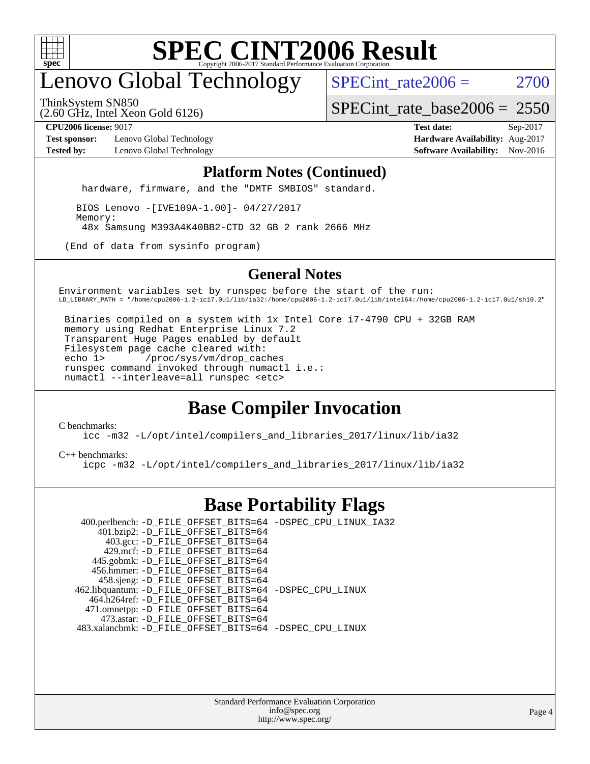

# enovo Global Technology

SPECint rate $2006 = 2700$ 

ThinkSystem SN850

(2.60 GHz, Intel Xeon Gold 6126)

[SPECint\\_rate\\_base2006 =](http://www.spec.org/auto/cpu2006/Docs/result-fields.html#SPECintratebase2006) 2550

**[Test sponsor:](http://www.spec.org/auto/cpu2006/Docs/result-fields.html#Testsponsor)** Lenovo Global Technology **[Hardware Availability:](http://www.spec.org/auto/cpu2006/Docs/result-fields.html#HardwareAvailability)** Aug-2017 **[Tested by:](http://www.spec.org/auto/cpu2006/Docs/result-fields.html#Testedby)** Lenovo Global Technology **[Software Availability:](http://www.spec.org/auto/cpu2006/Docs/result-fields.html#SoftwareAvailability)** Nov-2016

**[CPU2006 license:](http://www.spec.org/auto/cpu2006/Docs/result-fields.html#CPU2006license)** 9017 **[Test date:](http://www.spec.org/auto/cpu2006/Docs/result-fields.html#Testdate)** Sep-2017

#### **[Platform Notes \(Continued\)](http://www.spec.org/auto/cpu2006/Docs/result-fields.html#PlatformNotes)**

hardware, firmware, and the "DMTF SMBIOS" standard.

 BIOS Lenovo -[IVE109A-1.00]- 04/27/2017 Memory: 48x Samsung M393A4K40BB2-CTD 32 GB 2 rank 2666 MHz

(End of data from sysinfo program)

### **[General Notes](http://www.spec.org/auto/cpu2006/Docs/result-fields.html#GeneralNotes)**

Environment variables set by runspec before the start of the run: LD\_LIBRARY\_PATH = "/home/cpu2006-1.2-ic17.0u1/lib/ia32:/home/cpu2006-1.2-ic17.0u1/lib/intel64:/home/cpu2006-1.2-ic17.0u1/sh10.2"

 Binaries compiled on a system with 1x Intel Core i7-4790 CPU + 32GB RAM memory using Redhat Enterprise Linux 7.2 Transparent Huge Pages enabled by default Filesystem page cache cleared with: echo 1> /proc/sys/vm/drop\_caches runspec command invoked through numactl i.e.: numactl --interleave=all runspec <etc>

### **[Base Compiler Invocation](http://www.spec.org/auto/cpu2006/Docs/result-fields.html#BaseCompilerInvocation)**

[C benchmarks](http://www.spec.org/auto/cpu2006/Docs/result-fields.html#Cbenchmarks):

[icc -m32 -L/opt/intel/compilers\\_and\\_libraries\\_2017/linux/lib/ia32](http://www.spec.org/cpu2006/results/res2017q4/cpu2006-20170918-49979.flags.html#user_CCbase_intel_icc_c29f3ff5a7ed067b11e4ec10a03f03ae)

[C++ benchmarks:](http://www.spec.org/auto/cpu2006/Docs/result-fields.html#CXXbenchmarks)

[icpc -m32 -L/opt/intel/compilers\\_and\\_libraries\\_2017/linux/lib/ia32](http://www.spec.org/cpu2006/results/res2017q4/cpu2006-20170918-49979.flags.html#user_CXXbase_intel_icpc_8c35c7808b62dab9ae41a1aa06361b6b)

### **[Base Portability Flags](http://www.spec.org/auto/cpu2006/Docs/result-fields.html#BasePortabilityFlags)**

 400.perlbench: [-D\\_FILE\\_OFFSET\\_BITS=64](http://www.spec.org/cpu2006/results/res2017q4/cpu2006-20170918-49979.flags.html#user_basePORTABILITY400_perlbench_file_offset_bits_64_438cf9856305ebd76870a2c6dc2689ab) [-DSPEC\\_CPU\\_LINUX\\_IA32](http://www.spec.org/cpu2006/results/res2017q4/cpu2006-20170918-49979.flags.html#b400.perlbench_baseCPORTABILITY_DSPEC_CPU_LINUX_IA32) 401.bzip2: [-D\\_FILE\\_OFFSET\\_BITS=64](http://www.spec.org/cpu2006/results/res2017q4/cpu2006-20170918-49979.flags.html#user_basePORTABILITY401_bzip2_file_offset_bits_64_438cf9856305ebd76870a2c6dc2689ab) 403.gcc: [-D\\_FILE\\_OFFSET\\_BITS=64](http://www.spec.org/cpu2006/results/res2017q4/cpu2006-20170918-49979.flags.html#user_basePORTABILITY403_gcc_file_offset_bits_64_438cf9856305ebd76870a2c6dc2689ab) 429.mcf: [-D\\_FILE\\_OFFSET\\_BITS=64](http://www.spec.org/cpu2006/results/res2017q4/cpu2006-20170918-49979.flags.html#user_basePORTABILITY429_mcf_file_offset_bits_64_438cf9856305ebd76870a2c6dc2689ab) 445.gobmk: [-D\\_FILE\\_OFFSET\\_BITS=64](http://www.spec.org/cpu2006/results/res2017q4/cpu2006-20170918-49979.flags.html#user_basePORTABILITY445_gobmk_file_offset_bits_64_438cf9856305ebd76870a2c6dc2689ab) 456.hmmer: [-D\\_FILE\\_OFFSET\\_BITS=64](http://www.spec.org/cpu2006/results/res2017q4/cpu2006-20170918-49979.flags.html#user_basePORTABILITY456_hmmer_file_offset_bits_64_438cf9856305ebd76870a2c6dc2689ab) 458.sjeng: [-D\\_FILE\\_OFFSET\\_BITS=64](http://www.spec.org/cpu2006/results/res2017q4/cpu2006-20170918-49979.flags.html#user_basePORTABILITY458_sjeng_file_offset_bits_64_438cf9856305ebd76870a2c6dc2689ab) 462.libquantum: [-D\\_FILE\\_OFFSET\\_BITS=64](http://www.spec.org/cpu2006/results/res2017q4/cpu2006-20170918-49979.flags.html#user_basePORTABILITY462_libquantum_file_offset_bits_64_438cf9856305ebd76870a2c6dc2689ab) [-DSPEC\\_CPU\\_LINUX](http://www.spec.org/cpu2006/results/res2017q4/cpu2006-20170918-49979.flags.html#b462.libquantum_baseCPORTABILITY_DSPEC_CPU_LINUX) 464.h264ref: [-D\\_FILE\\_OFFSET\\_BITS=64](http://www.spec.org/cpu2006/results/res2017q4/cpu2006-20170918-49979.flags.html#user_basePORTABILITY464_h264ref_file_offset_bits_64_438cf9856305ebd76870a2c6dc2689ab) 471.omnetpp: [-D\\_FILE\\_OFFSET\\_BITS=64](http://www.spec.org/cpu2006/results/res2017q4/cpu2006-20170918-49979.flags.html#user_basePORTABILITY471_omnetpp_file_offset_bits_64_438cf9856305ebd76870a2c6dc2689ab) 473.astar: [-D\\_FILE\\_OFFSET\\_BITS=64](http://www.spec.org/cpu2006/results/res2017q4/cpu2006-20170918-49979.flags.html#user_basePORTABILITY473_astar_file_offset_bits_64_438cf9856305ebd76870a2c6dc2689ab) 483.xalancbmk: [-D\\_FILE\\_OFFSET\\_BITS=64](http://www.spec.org/cpu2006/results/res2017q4/cpu2006-20170918-49979.flags.html#user_basePORTABILITY483_xalancbmk_file_offset_bits_64_438cf9856305ebd76870a2c6dc2689ab) [-DSPEC\\_CPU\\_LINUX](http://www.spec.org/cpu2006/results/res2017q4/cpu2006-20170918-49979.flags.html#b483.xalancbmk_baseCXXPORTABILITY_DSPEC_CPU_LINUX)

> Standard Performance Evaluation Corporation [info@spec.org](mailto:info@spec.org) <http://www.spec.org/>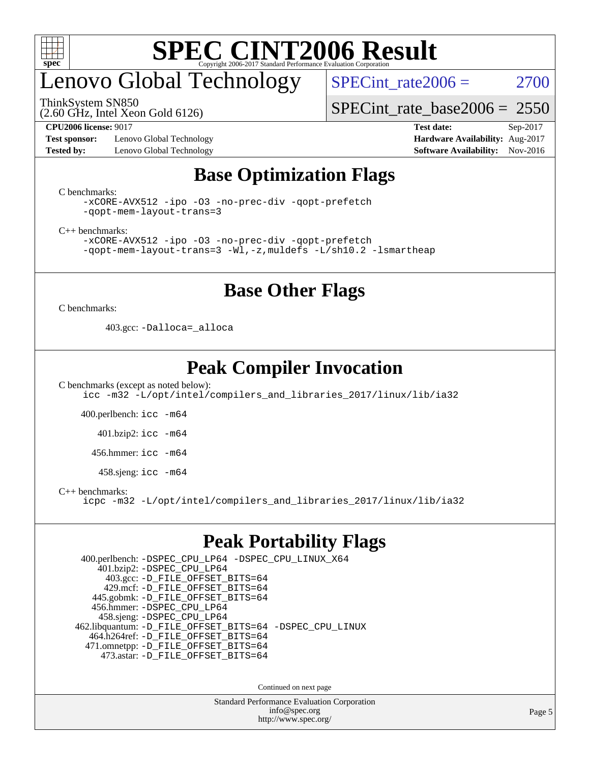

# enovo Global Technology

ThinkSystem SN850

(2.60 GHz, Intel Xeon Gold 6126)

SPECint rate $2006 = 2700$ 

[SPECint\\_rate\\_base2006 =](http://www.spec.org/auto/cpu2006/Docs/result-fields.html#SPECintratebase2006) 2550

**[Test sponsor:](http://www.spec.org/auto/cpu2006/Docs/result-fields.html#Testsponsor)** Lenovo Global Technology **[Hardware Availability:](http://www.spec.org/auto/cpu2006/Docs/result-fields.html#HardwareAvailability)** Aug-2017 **[Tested by:](http://www.spec.org/auto/cpu2006/Docs/result-fields.html#Testedby)** Lenovo Global Technology **[Software Availability:](http://www.spec.org/auto/cpu2006/Docs/result-fields.html#SoftwareAvailability)** Nov-2016

**[CPU2006 license:](http://www.spec.org/auto/cpu2006/Docs/result-fields.html#CPU2006license)** 9017 **[Test date:](http://www.spec.org/auto/cpu2006/Docs/result-fields.html#Testdate)** Sep-2017

### **[Base Optimization Flags](http://www.spec.org/auto/cpu2006/Docs/result-fields.html#BaseOptimizationFlags)**

[C benchmarks](http://www.spec.org/auto/cpu2006/Docs/result-fields.html#Cbenchmarks):

```
-xCORE-AVX512 -ipo -O3 -no-prec-div -qopt-prefetch
-qopt-mem-layout-trans=3
```
[C++ benchmarks:](http://www.spec.org/auto/cpu2006/Docs/result-fields.html#CXXbenchmarks)

[-xCORE-AVX512](http://www.spec.org/cpu2006/results/res2017q4/cpu2006-20170918-49979.flags.html#user_CXXbase_f-xCORE-AVX512) [-ipo](http://www.spec.org/cpu2006/results/res2017q4/cpu2006-20170918-49979.flags.html#user_CXXbase_f-ipo) [-O3](http://www.spec.org/cpu2006/results/res2017q4/cpu2006-20170918-49979.flags.html#user_CXXbase_f-O3) [-no-prec-div](http://www.spec.org/cpu2006/results/res2017q4/cpu2006-20170918-49979.flags.html#user_CXXbase_f-no-prec-div) [-qopt-prefetch](http://www.spec.org/cpu2006/results/res2017q4/cpu2006-20170918-49979.flags.html#user_CXXbase_f-qopt-prefetch) [-qopt-mem-layout-trans=3](http://www.spec.org/cpu2006/results/res2017q4/cpu2006-20170918-49979.flags.html#user_CXXbase_f-qopt-mem-layout-trans_170f5be61cd2cedc9b54468c59262d5d) [-Wl,-z,muldefs](http://www.spec.org/cpu2006/results/res2017q4/cpu2006-20170918-49979.flags.html#user_CXXbase_link_force_multiple1_74079c344b956b9658436fd1b6dd3a8a) [-L/sh10.2 -lsmartheap](http://www.spec.org/cpu2006/results/res2017q4/cpu2006-20170918-49979.flags.html#user_CXXbase_SmartHeap_b831f2d313e2fffa6dfe3f00ffc1f1c0)

### **[Base Other Flags](http://www.spec.org/auto/cpu2006/Docs/result-fields.html#BaseOtherFlags)**

[C benchmarks](http://www.spec.org/auto/cpu2006/Docs/result-fields.html#Cbenchmarks):

403.gcc: [-Dalloca=\\_alloca](http://www.spec.org/cpu2006/results/res2017q4/cpu2006-20170918-49979.flags.html#b403.gcc_baseEXTRA_CFLAGS_Dalloca_be3056838c12de2578596ca5467af7f3)

### **[Peak Compiler Invocation](http://www.spec.org/auto/cpu2006/Docs/result-fields.html#PeakCompilerInvocation)**

[C benchmarks \(except as noted below\)](http://www.spec.org/auto/cpu2006/Docs/result-fields.html#Cbenchmarksexceptasnotedbelow): [icc -m32 -L/opt/intel/compilers\\_and\\_libraries\\_2017/linux/lib/ia32](http://www.spec.org/cpu2006/results/res2017q4/cpu2006-20170918-49979.flags.html#user_CCpeak_intel_icc_c29f3ff5a7ed067b11e4ec10a03f03ae)

400.perlbench: [icc -m64](http://www.spec.org/cpu2006/results/res2017q4/cpu2006-20170918-49979.flags.html#user_peakCCLD400_perlbench_intel_icc_64bit_bda6cc9af1fdbb0edc3795bac97ada53)

401.bzip2: [icc -m64](http://www.spec.org/cpu2006/results/res2017q4/cpu2006-20170918-49979.flags.html#user_peakCCLD401_bzip2_intel_icc_64bit_bda6cc9af1fdbb0edc3795bac97ada53)

456.hmmer: [icc -m64](http://www.spec.org/cpu2006/results/res2017q4/cpu2006-20170918-49979.flags.html#user_peakCCLD456_hmmer_intel_icc_64bit_bda6cc9af1fdbb0edc3795bac97ada53)

458.sjeng: [icc -m64](http://www.spec.org/cpu2006/results/res2017q4/cpu2006-20170918-49979.flags.html#user_peakCCLD458_sjeng_intel_icc_64bit_bda6cc9af1fdbb0edc3795bac97ada53)

[C++ benchmarks:](http://www.spec.org/auto/cpu2006/Docs/result-fields.html#CXXbenchmarks)

[icpc -m32 -L/opt/intel/compilers\\_and\\_libraries\\_2017/linux/lib/ia32](http://www.spec.org/cpu2006/results/res2017q4/cpu2006-20170918-49979.flags.html#user_CXXpeak_intel_icpc_8c35c7808b62dab9ae41a1aa06361b6b)

### **[Peak Portability Flags](http://www.spec.org/auto/cpu2006/Docs/result-fields.html#PeakPortabilityFlags)**

 400.perlbench: [-DSPEC\\_CPU\\_LP64](http://www.spec.org/cpu2006/results/res2017q4/cpu2006-20170918-49979.flags.html#b400.perlbench_peakCPORTABILITY_DSPEC_CPU_LP64) [-DSPEC\\_CPU\\_LINUX\\_X64](http://www.spec.org/cpu2006/results/res2017q4/cpu2006-20170918-49979.flags.html#b400.perlbench_peakCPORTABILITY_DSPEC_CPU_LINUX_X64) 401.bzip2: [-DSPEC\\_CPU\\_LP64](http://www.spec.org/cpu2006/results/res2017q4/cpu2006-20170918-49979.flags.html#suite_peakCPORTABILITY401_bzip2_DSPEC_CPU_LP64) 403.gcc: [-D\\_FILE\\_OFFSET\\_BITS=64](http://www.spec.org/cpu2006/results/res2017q4/cpu2006-20170918-49979.flags.html#user_peakPORTABILITY403_gcc_file_offset_bits_64_438cf9856305ebd76870a2c6dc2689ab) 429.mcf: [-D\\_FILE\\_OFFSET\\_BITS=64](http://www.spec.org/cpu2006/results/res2017q4/cpu2006-20170918-49979.flags.html#user_peakPORTABILITY429_mcf_file_offset_bits_64_438cf9856305ebd76870a2c6dc2689ab) 445.gobmk: [-D\\_FILE\\_OFFSET\\_BITS=64](http://www.spec.org/cpu2006/results/res2017q4/cpu2006-20170918-49979.flags.html#user_peakPORTABILITY445_gobmk_file_offset_bits_64_438cf9856305ebd76870a2c6dc2689ab) 456.hmmer: [-DSPEC\\_CPU\\_LP64](http://www.spec.org/cpu2006/results/res2017q4/cpu2006-20170918-49979.flags.html#suite_peakCPORTABILITY456_hmmer_DSPEC_CPU_LP64) 458.sjeng: [-DSPEC\\_CPU\\_LP64](http://www.spec.org/cpu2006/results/res2017q4/cpu2006-20170918-49979.flags.html#suite_peakCPORTABILITY458_sjeng_DSPEC_CPU_LP64) 462.libquantum: [-D\\_FILE\\_OFFSET\\_BITS=64](http://www.spec.org/cpu2006/results/res2017q4/cpu2006-20170918-49979.flags.html#user_peakPORTABILITY462_libquantum_file_offset_bits_64_438cf9856305ebd76870a2c6dc2689ab) [-DSPEC\\_CPU\\_LINUX](http://www.spec.org/cpu2006/results/res2017q4/cpu2006-20170918-49979.flags.html#b462.libquantum_peakCPORTABILITY_DSPEC_CPU_LINUX) 464.h264ref: [-D\\_FILE\\_OFFSET\\_BITS=64](http://www.spec.org/cpu2006/results/res2017q4/cpu2006-20170918-49979.flags.html#user_peakPORTABILITY464_h264ref_file_offset_bits_64_438cf9856305ebd76870a2c6dc2689ab) 471.omnetpp: [-D\\_FILE\\_OFFSET\\_BITS=64](http://www.spec.org/cpu2006/results/res2017q4/cpu2006-20170918-49979.flags.html#user_peakPORTABILITY471_omnetpp_file_offset_bits_64_438cf9856305ebd76870a2c6dc2689ab) 473.astar: [-D\\_FILE\\_OFFSET\\_BITS=64](http://www.spec.org/cpu2006/results/res2017q4/cpu2006-20170918-49979.flags.html#user_peakPORTABILITY473_astar_file_offset_bits_64_438cf9856305ebd76870a2c6dc2689ab)

Continued on next page

Standard Performance Evaluation Corporation [info@spec.org](mailto:info@spec.org) <http://www.spec.org/>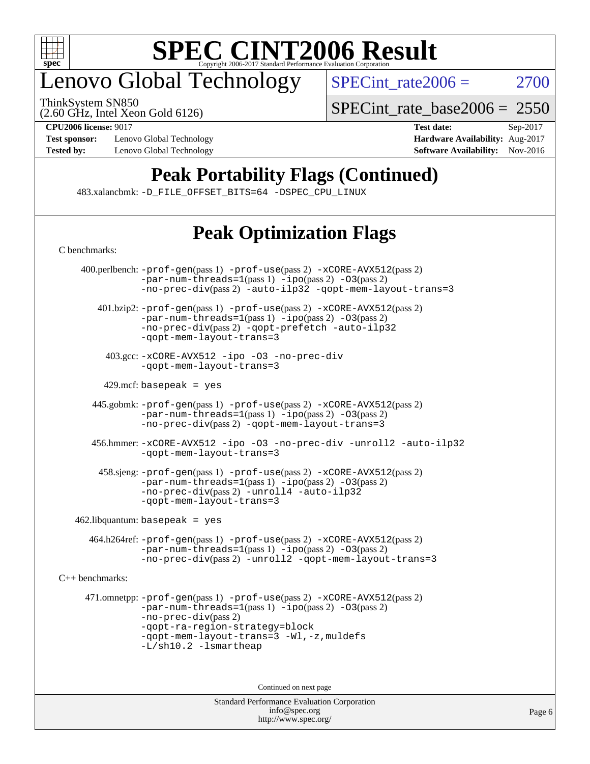

# enovo Global Technology

ThinkSystem SN850

 $SPECTnt_rate2006 = 2700$ 

(2.60 GHz, Intel Xeon Gold 6126)

**[Test sponsor:](http://www.spec.org/auto/cpu2006/Docs/result-fields.html#Testsponsor)** Lenovo Global Technology **[Hardware Availability:](http://www.spec.org/auto/cpu2006/Docs/result-fields.html#HardwareAvailability)** Aug-2017

[SPECint\\_rate\\_base2006 =](http://www.spec.org/auto/cpu2006/Docs/result-fields.html#SPECintratebase2006) 2550

**[CPU2006 license:](http://www.spec.org/auto/cpu2006/Docs/result-fields.html#CPU2006license)** 9017 **[Test date:](http://www.spec.org/auto/cpu2006/Docs/result-fields.html#Testdate)** Sep-2017 **[Tested by:](http://www.spec.org/auto/cpu2006/Docs/result-fields.html#Testedby)** Lenovo Global Technology **[Software Availability:](http://www.spec.org/auto/cpu2006/Docs/result-fields.html#SoftwareAvailability)** Nov-2016

# **[Peak Portability Flags \(Continued\)](http://www.spec.org/auto/cpu2006/Docs/result-fields.html#PeakPortabilityFlags)**

483.xalancbmk: [-D\\_FILE\\_OFFSET\\_BITS=64](http://www.spec.org/cpu2006/results/res2017q4/cpu2006-20170918-49979.flags.html#user_peakPORTABILITY483_xalancbmk_file_offset_bits_64_438cf9856305ebd76870a2c6dc2689ab) [-DSPEC\\_CPU\\_LINUX](http://www.spec.org/cpu2006/results/res2017q4/cpu2006-20170918-49979.flags.html#b483.xalancbmk_peakCXXPORTABILITY_DSPEC_CPU_LINUX)

# **[Peak Optimization Flags](http://www.spec.org/auto/cpu2006/Docs/result-fields.html#PeakOptimizationFlags)**

| C benchmarks:   |                                                                                                                                                                                                                                                                       |
|-----------------|-----------------------------------------------------------------------------------------------------------------------------------------------------------------------------------------------------------------------------------------------------------------------|
|                 | 400.perlbench: -prof-gen(pass 1) -prof-use(pass 2) -xCORE-AVX512(pass 2)<br>$-par-num-threads=1(pass 1) -ipo(pass 2) -03(pass 2)$<br>$-no-prec-div(pass 2)$ -auto-ilp32 -qopt-mem-layout-trans=3                                                                      |
|                 | 401.bzip2: -prof-gen(pass 1) -prof-use(pass 2) -xCORE-AVX512(pass 2)<br>$-par-num-threads=1(pass 1) -ipo(pass 2) -03(pass 2)$<br>-no-prec-div(pass 2) -gopt-prefetch -auto-ilp32<br>-gopt-mem-layout-trans=3                                                          |
|                 | 403.gcc: -xCORE-AVX512 -ipo -03 -no-prec-div<br>-gopt-mem-layout-trans=3                                                                                                                                                                                              |
|                 | $429$ .mcf: basepeak = yes                                                                                                                                                                                                                                            |
|                 | 445.gobmk: -prof-gen(pass 1) -prof-use(pass 2) -xCORE-AVX512(pass 2)<br>$-par-num-threads = 1 (pass 1) - ipo (pass 2) -03 (pass 2)$<br>-no-prec-div(pass 2) -qopt-mem-layout-trans=3                                                                                  |
|                 | 456.hmmer: -xCORE-AVX512 -ipo -03 -no-prec-div -unroll2 -auto-ilp32<br>-gopt-mem-layout-trans=3                                                                                                                                                                       |
|                 | 458.sjeng: -prof-gen(pass 1) -prof-use(pass 2) -xCORE-AVX512(pass 2)<br>$-par-num-threads=1(pass 1) -ipo(pass 2) -03(pass 2)$<br>-no-prec-div(pass 2) -unroll4 -auto-ilp32<br>-gopt-mem-layout-trans=3                                                                |
|                 | $462$ .libquantum: basepeak = yes                                                                                                                                                                                                                                     |
|                 | 464.h264ref: -prof-gen(pass 1) -prof-use(pass 2) -xCORE-AVX512(pass 2)<br>$-par-num-threads=1(pass 1) -ipo(pass 2) -03(pass 2)$<br>-no-prec-div(pass 2) -unroll2 -qopt-mem-layout-trans=3                                                                             |
| C++ benchmarks: |                                                                                                                                                                                                                                                                       |
|                 | 471.omnetpp: -prof-gen(pass 1) -prof-use(pass 2) -xCORE-AVX512(pass 2)<br>$-par-num-threads=1(pass 1) -ipo(pass 2) -03(pass 2)$<br>$-no-prec-div(pass 2)$<br>-qopt-ra-region-strategy=block<br>-qopt-mem-layout-trans=3 -Wl,-z, muldefs<br>$-L/\nsh10.2 - lsmartheap$ |
|                 | Continued on next page                                                                                                                                                                                                                                                |
|                 | <b>Standard Performance Evaluation Corporation</b>                                                                                                                                                                                                                    |

[info@spec.org](mailto:info@spec.org) <http://www.spec.org/>